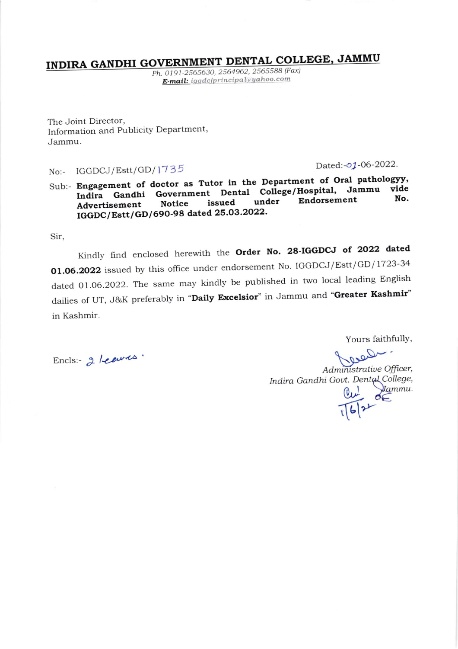# INDIRA GANDHI GOVERNMENT DENTAL COLLEGE, JAMMU

Ph. 0191-2565630, 2564962, 2565588 (Fax) E-mail: iggdcjprincipal@yahoo.com

The Joint Director, Information and Publicity Department, Jammu.

## No:- IGGDCJ/Estt/GD/1735

Dated:-01-06-2022.

Sub:- Engagement of doctor as Tutor in the Department of Oral pathologyy, Indira Gandhi Government Dental College/Hospital, Jammu No. Endorsement under issued **Notice** Advertisement IGGDC/Estt/GD/690-98 dated 25.03.2022.

Sir,

Kindly find enclosed herewith the Order No. 28-IGGDCJ of 2022 dated 01.06.2022 issued by this office under endorsement No. IGGDCJ/Estt/GD/1723-34 dated 01.06.2022. The same may kindly be published in two local leading English dailies of UT, J&K preferably in "Daily Excelsior" in Jammu and "Greater Kashmir" in Kashmir.

Yours faithfully,

Encls: 2 Leaves.

Clear! Administrative Officer, Indira Gandhi Govt. Dental College,  $\frac{Qu}{1612}$  Stammu.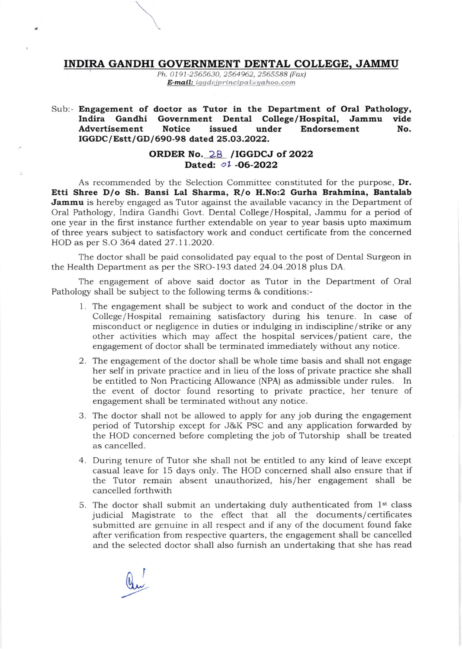#### INDIRA GANDHI GOVERNMENT DENTAL COLLEGE, JAMMU

Ph. O1 91-2565630, 2564962, 2565588 (Fax) E-mail: iggdcjprincipal@yahoo.com

#### Sub:- Engagement of doctor as Tutor in the Department of Oral Pathology,<br>Indira Gandhi Government Dental College/Hospital, Jammu vide Indira Gandhi Government Dental College/Hospital, Jammu vide<br>Advertisement Notice issued under Endorsement No. Advertisement IGGDC/Estt/GD/690-98 dated 25.O3.2022.

### ORDER No. 28 /IGGDCJ of 2022 Dated: 01 -06-2022

As recommended by the Selection Committee constituted for the purpose, Dr. Etti Shree D/o Sh. Bansi Lal Sharma, R/o H.No:2 Gurha Brahmina, Bantalab Jammu is hereby engaged as Tutor against the available vacancy in the Department of Oral Pathology, Indira Gandhi Govt. Dental College/Hospital, Jammu for a period of one year in the first instance further extendable on year to year basis upto maximum of three years subject to satisfactory work and conduct certificate from the concerned HOD as per S.O 364 dated 27.11.2O2O.

The doctor shall be paid consolidated pay equal to the post of Dental Surgeon in the Health Department as per the SRO-193 dated 24.04.2018 plus DA.

The engagement of above said doctor as Tutor in the Department of Oral Pathology shall be subject to the following terms & conditions:-

- 1. The engagement shall be subject to work and conduct of the doctor in the College/ Hospital remaining satisfactory during his tenure. In case of misconduct or negligence in duties or indulging in indiscipline / strike or any other activities which may affect the hospital services/ patient care, the engagement of doctor shall be terminated immediately without any notice.
- 2. The engagement of the doctor shall be whole time basis and shall not engage her self in private practice and in lieu of the loss of private practice she shall be entitled to Non Practicing Allowance (NPA) as admissible under rules. In the event of doctor found resorting to private practice, her tenure of engagement shall be terminated without any notice.
- 3. The doctor shall not be allowed to apply for any job during the engagement period of Tutorship except for J&K PSC and any application forwarded by the HOD concemed before completing the job of Tutorship shall be treated as cancelled.
- 4. During tenure of Tutor she shall not be entitled to any kind of leave except casual leave for 15 days only. The HOD concerned shall also ensure that if the Tutor remain absent unauthorized, his/her engagement shall be cancelled forthwith
- 5. The doctor shall submit an undertaking duly authenticated from  $1<sup>st</sup>$  class judicial Magistrate to the effect that all the documents/ certificates submitted are genuine in all respect and if any of the document found fake after verihcation from respective quarters, the engagement shall be cancelled and the selected doctor shall also furnish an undertaking that she has read

Qu